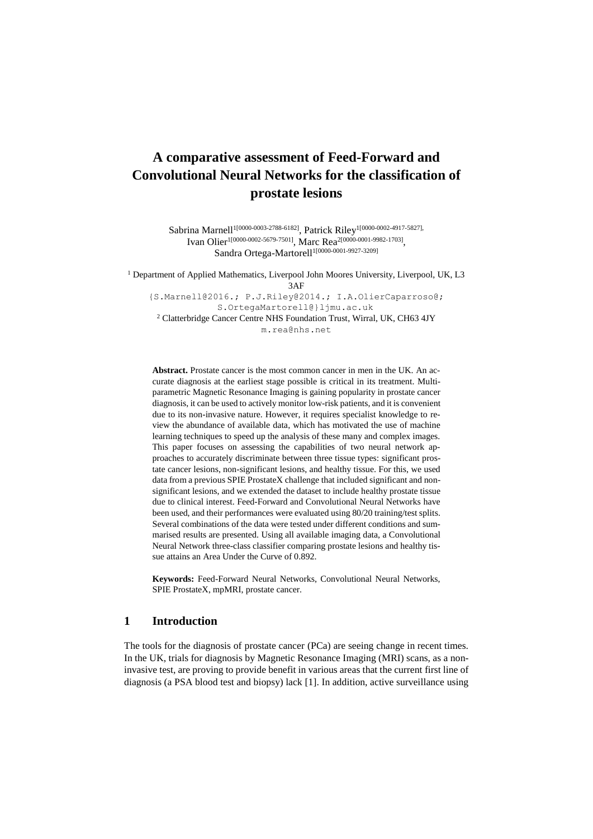# **A comparative assessment of Feed-Forward and Convolutional Neural Networks for the classification of prostate lesions**

Sabrina Marnell<sup>1[0000-0003-2788-6182]</sup>, Patrick Riley<sup>1[0000-0002-4917-5827],</sup> Ivan Olier<sup>1[0000-0002-5679-7501]</sup>, Marc Rea<sup>2[0000-0001-9982-1703]</sup>, Sandra Ortega-Martorell<sup>1[0000-0001-9927-3209]</sup>

<sup>1</sup> Department of Applied Mathematics, Liverpool John Moores University, Liverpool, UK, L3 3AF [{S.Marnell@2016.](mailto:%7bS.Marnell@2016); [P.J.Riley@2014.](mailto:P.J.Riley@2014); I.A.OlierCaparroso@; [S.OrtegaMartorell@}ljmu.ac.uk](mailto:S.OrtegaMartorell@%7dljmu.ac.uk) <sup>2</sup> Clatterbridge Cancer Centre NHS Foundation Trust, Wirral, UK, CH63 4JY m.rea@nhs.net

**Abstract.** Prostate cancer is the most common cancer in men in the UK. An accurate diagnosis at the earliest stage possible is critical in its treatment. Multiparametric Magnetic Resonance Imaging is gaining popularity in prostate cancer diagnosis, it can be used to actively monitor low-risk patients, and it is convenient due to its non-invasive nature. However, it requires specialist knowledge to review the abundance of available data, which has motivated the use of machine learning techniques to speed up the analysis of these many and complex images. This paper focuses on assessing the capabilities of two neural network approaches to accurately discriminate between three tissue types: significant prostate cancer lesions, non-significant lesions, and healthy tissue. For this, we used data from a previous SPIE ProstateX challenge that included significant and nonsignificant lesions, and we extended the dataset to include healthy prostate tissue due to clinical interest. Feed-Forward and Convolutional Neural Networks have been used, and their performances were evaluated using 80/20 training/test splits. Several combinations of the data were tested under different conditions and summarised results are presented. Using all available imaging data, a Convolutional Neural Network three-class classifier comparing prostate lesions and healthy tissue attains an Area Under the Curve of 0.892.

**Keywords:** Feed-Forward Neural Networks, Convolutional Neural Networks, SPIE ProstateX, mpMRI, prostate cancer.

## **1 Introduction**

The tools for the diagnosis of prostate cancer (PCa) are seeing change in recent times. In the UK, trials for diagnosis by Magnetic Resonance Imaging (MRI) scans, as a noninvasive test, are proving to provide benefit in various areas that the current first line of diagnosis (a PSA blood test and biopsy) lack [1]. In addition, active surveillance using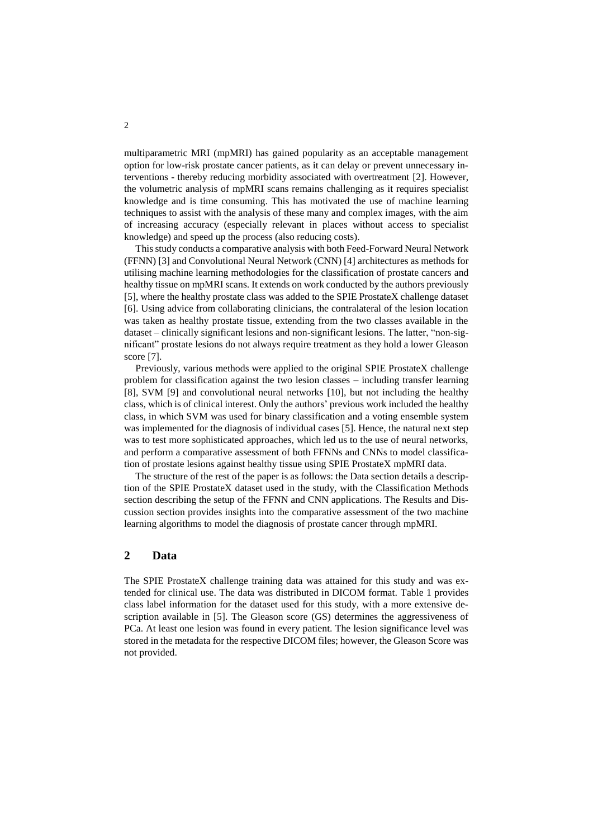multiparametric MRI (mpMRI) has gained popularity as an acceptable management option for low-risk prostate cancer patients, as it can delay or prevent unnecessary interventions - thereby reducing morbidity associated with overtreatment [2]. However, the volumetric analysis of mpMRI scans remains challenging as it requires specialist knowledge and is time consuming. This has motivated the use of machine learning techniques to assist with the analysis of these many and complex images, with the aim of increasing accuracy (especially relevant in places without access to specialist knowledge) and speed up the process (also reducing costs).

This study conducts a comparative analysis with both Feed-Forward Neural Network (FFNN) [3] and Convolutional Neural Network (CNN) [4] architectures as methods for utilising machine learning methodologies for the classification of prostate cancers and healthy tissue on mpMRI scans. It extends on work conducted by the authors previously [5], where the healthy prostate class was added to the SPIE ProstateX challenge dataset [6]. Using advice from collaborating clinicians, the contralateral of the lesion location was taken as healthy prostate tissue, extending from the two classes available in the dataset – clinically significant lesions and non-significant lesions. The latter, "non-significant" prostate lesions do not always require treatment as they hold a lower Gleason score [7].

Previously, various methods were applied to the original SPIE ProstateX challenge problem for classification against the two lesion classes – including transfer learning [8], SVM [9] and convolutional neural networks [10], but not including the healthy class, which is of clinical interest. Only the authors' previous work included the healthy class, in which SVM was used for binary classification and a voting ensemble system was implemented for the diagnosis of individual cases [5]. Hence, the natural next step was to test more sophisticated approaches, which led us to the use of neural networks, and perform a comparative assessment of both FFNNs and CNNs to model classification of prostate lesions against healthy tissue using SPIE ProstateX mpMRI data.

The structure of the rest of the paper is as follows: the Data section details a description of the SPIE ProstateX dataset used in the study, with the Classification Methods section describing the setup of the FFNN and CNN applications. The Results and Discussion section provides insights into the comparative assessment of the two machine learning algorithms to model the diagnosis of prostate cancer through mpMRI.

## **2 Data**

The SPIE ProstateX challenge training data was attained for this study and was extended for clinical use. The data was distributed in DICOM format. Table 1 provides class label information for the dataset used for this study, with a more extensive description available in [5]. The Gleason score (GS) determines the aggressiveness of PCa. At least one lesion was found in every patient. The lesion significance level was stored in the metadata for the respective DICOM files; however, the Gleason Score was not provided.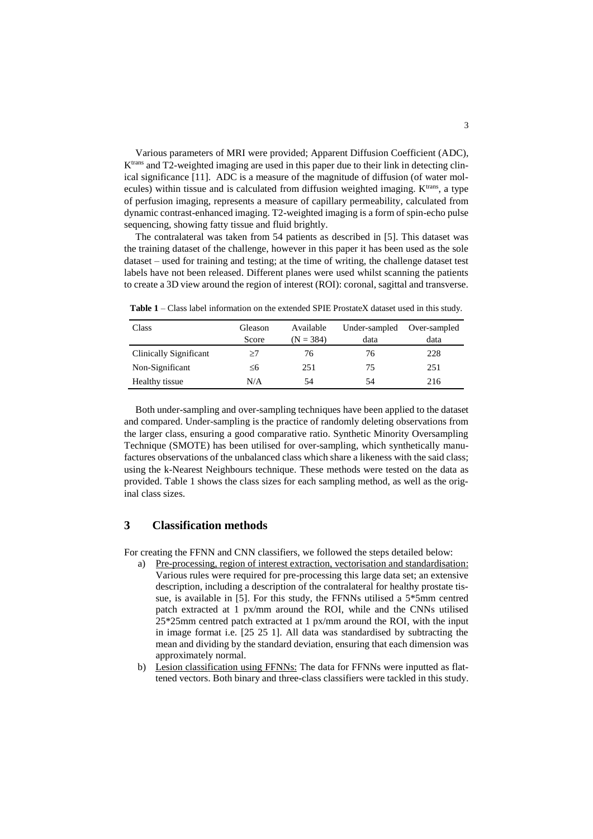Various parameters of MRI were provided; Apparent Diffusion Coefficient (ADC), Ktrans and T2-weighted imaging are used in this paper due to their link in detecting clinical significance [11]. ADC is a measure of the magnitude of diffusion (of water molecules) within tissue and is calculated from diffusion weighted imaging.  $K<sup>trans</sup>$ , a type of perfusion imaging, represents a measure of capillary permeability, calculated from dynamic contrast-enhanced imaging. T2-weighted imaging is a form of spin-echo pulse sequencing, showing fatty tissue and fluid brightly.

The contralateral was taken from 54 patients as described in [5]. This dataset was the training dataset of the challenge, however in this paper it has been used as the sole dataset – used for training and testing; at the time of writing, the challenge dataset test labels have not been released. Different planes were used whilst scanning the patients to create a 3D view around the region of interest (ROI): coronal, sagittal and transverse.

| Class                  | Available<br>Gleason |             | Under-sampled | Over-sampled |
|------------------------|----------------------|-------------|---------------|--------------|
|                        | Score                | $(N = 384)$ | data          | data         |
| Clinically Significant | >7                   | 76          | 76            | 228          |
| Non-Significant        | ≤6                   | 251         | 75            | 251          |
| Healthy tissue         | N/A                  | 54          | 54            | 216          |

<span id="page-2-0"></span>**Table 1** – Class label information on the extended SPIE ProstateX dataset used in this study.

Both under-sampling and over-sampling techniques have been applied to the dataset and compared. Under-sampling is the practice of randomly deleting observations from the larger class, ensuring a good comparative ratio. Synthetic Minority Oversampling Technique (SMOTE) has been utilised for over-sampling, which synthetically manufactures observations of the unbalanced class which share a likeness with the said class; using the k-Nearest Neighbours technique. These methods were tested on the data as provided. [Table 1](#page-2-0) shows the class sizes for each sampling method, as well as the original class sizes.

### **3 Classification methods**

For creating the FFNN and CNN classifiers, we followed the steps detailed below:

- a) Pre-processing, region of interest extraction, vectorisation and standardisation: Various rules were required for pre-processing this large data set; an extensive description, including a description of the contralateral for healthy prostate tissue, is available in [5]. For this study, the FFNNs utilised a 5\*5mm centred patch extracted at 1 px/mm around the ROI, while and the CNNs utilised 25\*25mm centred patch extracted at 1 px/mm around the ROI, with the input in image format i.e. [25 25 1]. All data was standardised by subtracting the mean and dividing by the standard deviation, ensuring that each dimension was approximately normal.
- b) Lesion classification using FFNNs: The data for FFNNs were inputted as flattened vectors. Both binary and three-class classifiers were tackled in this study.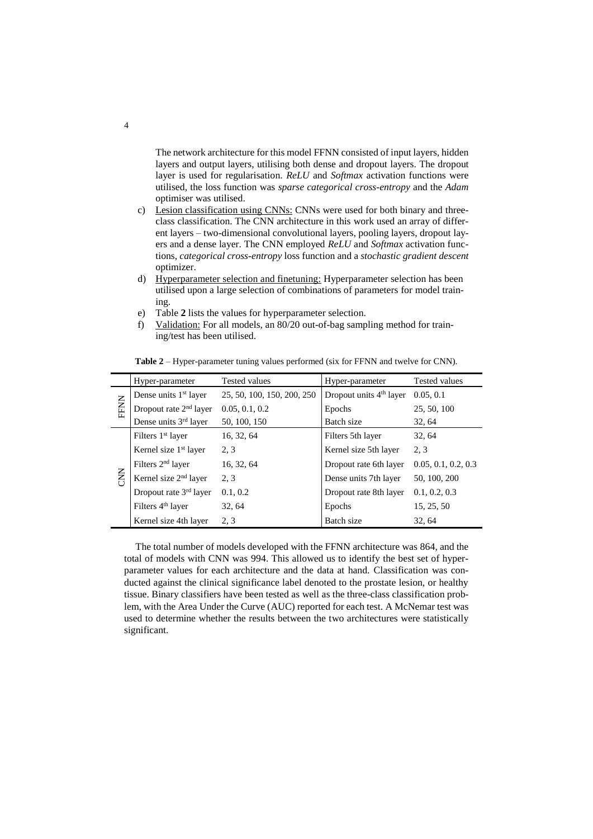The network architecture for this model FFNN consisted of input layers, hidden layers and output layers, utilising both dense and dropout layers. The dropout layer is used for regularisation. *ReLU* and *Softmax* activation functions were utilised, the loss function was *sparse categorical cross-entropy* and the *Adam* optimiser was utilised.

- c) Lesion classification using CNNs: CNNs were used for both binary and threeclass classification. The CNN architecture in this work used an array of different layers – two-dimensional convolutional layers, pooling layers, dropout layers and a dense layer. The CNN employed *ReLU* and *Softmax* activation functions, *categorical cross-entropy* loss function and a *stochastic gradient descent* optimizer.
- d) Hyperparameter selection and finetuning: Hyperparameter selection has been utilised upon a large selection of combinations of parameters for model training.
- e) [Table](#page-3-0) **2** lists the values for hyperparameter selection.
- <span id="page-3-0"></span>f) Validation: For all models, an 80/20 out-of-bag sampling method for training/test has been utilised.

|             | Hyper-parameter                   | <b>Tested values</b>       | Hyper-parameter                     | <b>Tested values</b> |
|-------------|-----------------------------------|----------------------------|-------------------------------------|----------------------|
| <b>FFNN</b> | Dense units 1 <sup>st</sup> layer | 25, 50, 100, 150, 200, 250 | Dropout units 4 <sup>th</sup> layer | 0.05, 0.1            |
|             | Dropout rate $2nd$ layer          | 0.05, 0.1, 0.2             | Epochs                              | 25, 50, 100          |
|             | Dense units 3 <sup>rd</sup> layer | 50, 100, 150               | Batch size                          | 32, 64               |
| Š           | Filters 1 <sup>st</sup> layer     | 16, 32, 64                 | Filters 5th layer                   | 32, 64               |
|             | Kernel size 1 <sup>st</sup> layer | 2.3                        | Kernel size 5th layer               | 2.3                  |
|             | Filters $2nd$ layer               | 16, 32, 64                 | Dropout rate 6th layer              | 0.05, 0.1, 0.2, 0.3  |
|             | Kernel size $2nd$ layer           | 2, 3                       | Dense units 7th layer               | 50, 100, 200         |
|             | Dropout rate $3rd$ layer          | 0.1, 0.2                   | Dropout rate 8th layer              | 0.1, 0.2, 0.3        |
|             | Filters 4 <sup>th</sup> layer     | 32, 64                     | Epochs                              | 15, 25, 50           |
|             | Kernel size 4th layer             | 2, 3                       | Batch size                          | 32.64                |

**Table 2** – Hyper-parameter tuning values performed (six for FFNN and twelve for CNN).

The total number of models developed with the FFNN architecture was 864, and the total of models with CNN was 994. This allowed us to identify the best set of hyperparameter values for each architecture and the data at hand. Classification was conducted against the clinical significance label denoted to the prostate lesion, or healthy tissue. Binary classifiers have been tested as well as the three-class classification problem, with the Area Under the Curve (AUC) reported for each test. A McNemar test was used to determine whether the results between the two architectures were statistically significant.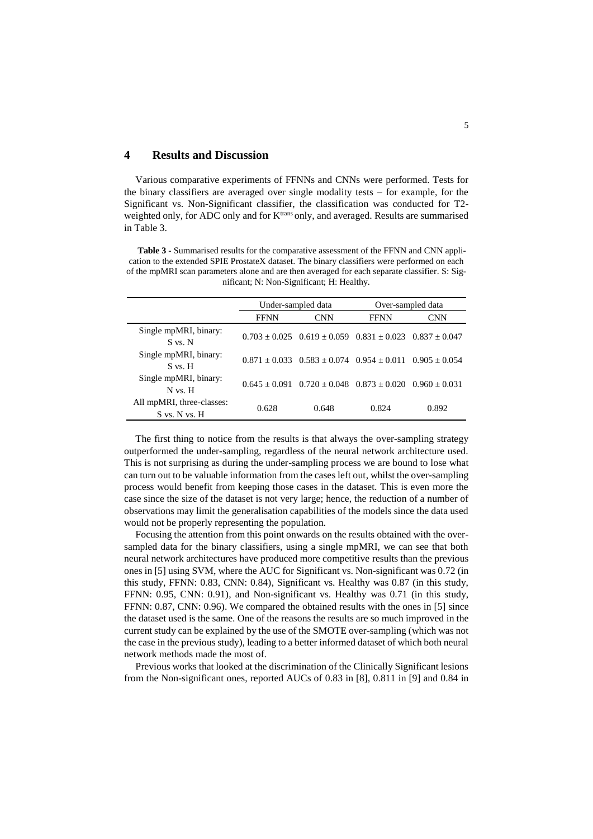## **4 Results and Discussion**

Various comparative experiments of FFNNs and CNNs were performed. Tests for the binary classifiers are averaged over single modality tests – for example, for the Significant vs. Non-Significant classifier, the classification was conducted for T2 weighted only, for ADC only and for K<sup>trans</sup> only, and averaged. Results are summarised in [Table 3.](#page-4-0)

<span id="page-4-0"></span>**Table 3** - Summarised results for the comparative assessment of the FFNN and CNN application to the extended SPIE ProstateX dataset. The binary classifiers were performed on each of the mpMRI scan parameters alone and are then averaged for each separate classifier. S: Significant; N: Non-Significant; H: Healthy.

|                                            | Under-sampled data |                                                                         | Over-sampled data |            |
|--------------------------------------------|--------------------|-------------------------------------------------------------------------|-------------------|------------|
|                                            | <b>FFNN</b>        | <b>CNN</b>                                                              | <b>FFNN</b>       | <b>CNN</b> |
| Single mpMRI, binary:<br>S vs. N           |                    | $0.703 \pm 0.025$ $0.619 \pm 0.059$ $0.831 \pm 0.023$ $0.837 \pm 0.047$ |                   |            |
| Single mpMRI, binary:<br>$S$ vs. $H$       |                    | $0.871 \pm 0.033$ $0.583 \pm 0.074$ $0.954 \pm 0.011$ $0.905 \pm 0.054$ |                   |            |
| Single mpMRI, binary:<br>$N$ vs. $H$       |                    | $0.645 \pm 0.091$ $0.720 \pm 0.048$ $0.873 \pm 0.020$ $0.960 \pm 0.031$ |                   |            |
| All mpMRI, three-classes:<br>S vs. N vs. H | 0.628              | 0.648                                                                   | 0.824             | 0.892      |

The first thing to notice from the results is that always the over-sampling strategy outperformed the under-sampling, regardless of the neural network architecture used. This is not surprising as during the under-sampling process we are bound to lose what can turn out to be valuable information from the cases left out, whilst the over-sampling process would benefit from keeping those cases in the dataset. This is even more the case since the size of the dataset is not very large; hence, the reduction of a number of observations may limit the generalisation capabilities of the models since the data used would not be properly representing the population.

Focusing the attention from this point onwards on the results obtained with the oversampled data for the binary classifiers, using a single mpMRI, we can see that both neural network architectures have produced more competitive results than the previous ones in [5] using SVM, where the AUC for Significant vs. Non-significant was 0.72 (in this study, FFNN: 0.83, CNN: 0.84), Significant vs. Healthy was 0.87 (in this study, FFNN: 0.95, CNN: 0.91), and Non-significant vs. Healthy was 0.71 (in this study, FFNN: 0.87, CNN: 0.96). We compared the obtained results with the ones in [5] since the dataset used is the same. One of the reasons the results are so much improved in the current study can be explained by the use of the SMOTE over-sampling (which was not the case in the previous study), leading to a better informed dataset of which both neural network methods made the most of.

Previous works that looked at the discrimination of the Clinically Significant lesions from the Non-significant ones, reported AUCs of 0.83 in [8], 0.811 in [9] and 0.84 in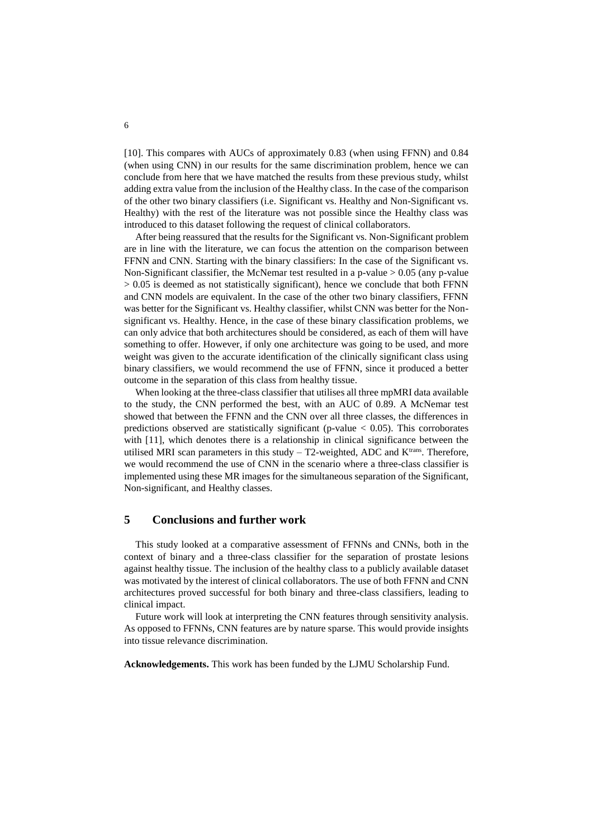[10]. This compares with AUCs of approximately 0.83 (when using FFNN) and 0.84 (when using CNN) in our results for the same discrimination problem, hence we can conclude from here that we have matched the results from these previous study, whilst adding extra value from the inclusion of the Healthy class. In the case of the comparison of the other two binary classifiers (i.e. Significant vs. Healthy and Non-Significant vs. Healthy) with the rest of the literature was not possible since the Healthy class was introduced to this dataset following the request of clinical collaborators.

After being reassured that the results for the Significant vs. Non-Significant problem are in line with the literature, we can focus the attention on the comparison between FFNN and CNN. Starting with the binary classifiers: In the case of the Significant vs. Non-Significant classifier, the McNemar test resulted in a p-value  $> 0.05$  (any p-value  $> 0.05$  is deemed as not statistically significant), hence we conclude that both FFNN and CNN models are equivalent. In the case of the other two binary classifiers, FFNN was better for the Significant vs. Healthy classifier, whilst CNN was better for the Nonsignificant vs. Healthy. Hence, in the case of these binary classification problems, we can only advice that both architectures should be considered, as each of them will have something to offer. However, if only one architecture was going to be used, and more weight was given to the accurate identification of the clinically significant class using binary classifiers, we would recommend the use of FFNN, since it produced a better outcome in the separation of this class from healthy tissue.

When looking at the three-class classifier that utilises all three mpMRI data available to the study, the CNN performed the best, with an AUC of 0.89. A McNemar test showed that between the FFNN and the CNN over all three classes, the differences in predictions observed are statistically significant (p-value  $< 0.05$ ). This corroborates with [11], which denotes there is a relationship in clinical significance between the utilised MRI scan parameters in this study  $-$  T2-weighted, ADC and K<sup>trans</sup>. Therefore, we would recommend the use of CNN in the scenario where a three-class classifier is implemented using these MR images for the simultaneous separation of the Significant, Non-significant, and Healthy classes.

## **5 Conclusions and further work**

This study looked at a comparative assessment of FFNNs and CNNs, both in the context of binary and a three-class classifier for the separation of prostate lesions against healthy tissue. The inclusion of the healthy class to a publicly available dataset was motivated by the interest of clinical collaborators. The use of both FFNN and CNN architectures proved successful for both binary and three-class classifiers, leading to clinical impact.

Future work will look at interpreting the CNN features through sensitivity analysis. As opposed to FFNNs, CNN features are by nature sparse. This would provide insights into tissue relevance discrimination.

**Acknowledgements.** This work has been funded by the LJMU Scholarship Fund.